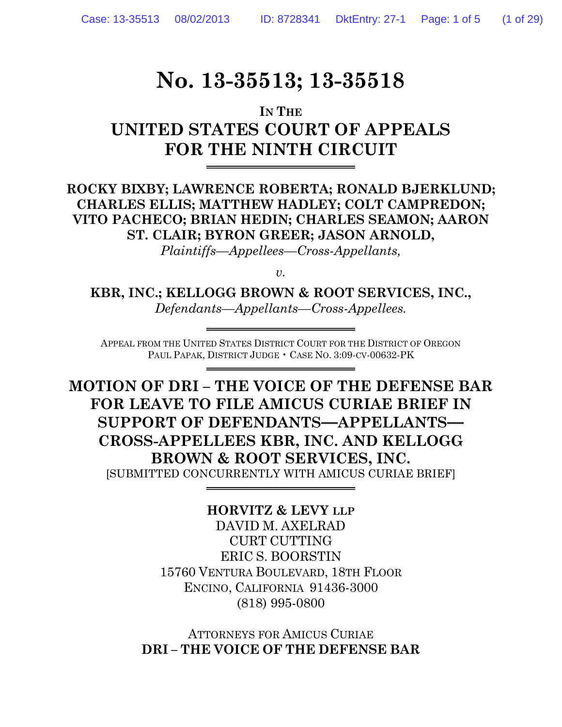# **No. 13-35513; 13-35518**

## **IN THE UNITED STATES COURT OF APPEALS FOR THE NINTH CIRCUIT**

**ROCKY BIXBY; LAWRENCE ROBERTA; RONALD BJERKLUND; CHARLES ELLIS; MATTHEW HADLEY; COLT CAMPREDON; VITO PACHECO; BRIAN HEDIN; CHARLES SEAMON; AARON ST. CLAIR; BYRON GREER; JASON ARNOLD,**

*Plaintiffs—Appellees—Cross-Appellants,*

*v*.

**KBR, INC.; KELLOGG BROWN & ROOT SERVICES, INC.,** *Defendants—Appellants—Cross-Appellees.*

APPEAL FROM THE UNITED STATES DISTRICT COURT FOR THE DISTRICT OF OREGON PAUL PAPAK, DISTRICT JUDGE • CASE NO. 3:09-CV-00632-PK

**MOTION OF DRI – THE VOICE OF THE DEFENSE BAR FOR LEAVE TO FILE AMICUS CURIAE BRIEF IN SUPPORT OF DEFENDANTS—APPELLANTS— CROSS-APPELLEES KBR, INC. AND KELLOGG BROWN & ROOT SERVICES, INC.** [SUBMITTED CONCURRENTLY WITH AMICUS CURIAE BRIEF]

### **HORVITZ & LEVY LLP**

DAVID M. AXELRAD CURT CUTTING ERIC S. BOORSTIN 15760 VENTURA BOULEVARD, 18TH FLOOR ENCINO, CALIFORNIA 91436-3000 (818) 995-0800

ATTORNEYS FOR AMICUS CURIAE **DRI – THE VOICE OF THE DEFENSE BAR**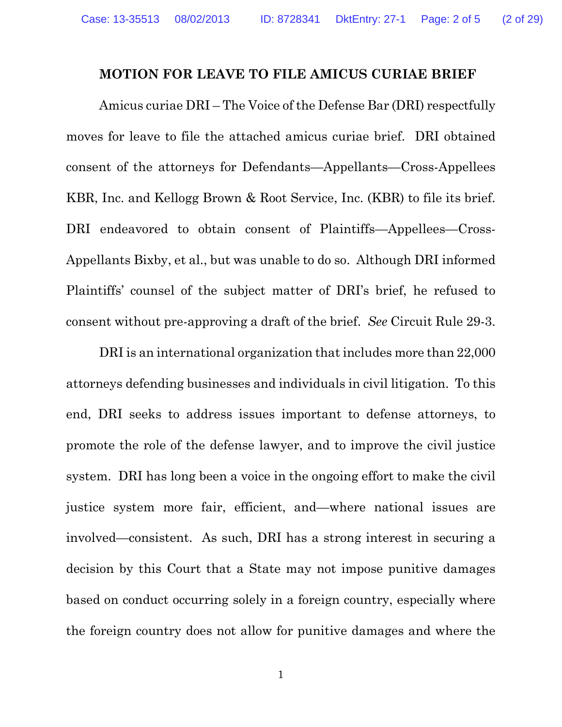#### **MOTION FOR LEAVE TO FILE AMICUS CURIAE BRIEF**

Amicus curiae DRI – The Voice of the Defense Bar (DRI) respectfully moves for leave to file the attached amicus curiae brief. DRI obtained consent of the attorneys for Defendants—Appellants—Cross-Appellees KBR, Inc. and Kellogg Brown & Root Service, Inc. (KBR) to file its brief. DRI endeavored to obtain consent of Plaintiffs—Appellees—Cross-Appellants Bixby, et al., but was unable to do so. Although DRI informed Plaintiffs' counsel of the subject matter of DRI's brief, he refused to consent without pre-approving a draft of the brief. *See* Circuit Rule 29-3.

DRI is an international organization that includes more than 22,000 attorneys defending businesses and individuals in civil litigation. To this end, DRI seeks to address issues important to defense attorneys, to promote the role of the defense lawyer, and to improve the civil justice system. DRI has long been a voice in the ongoing effort to make the civil justice system more fair, efficient, and—where national issues are involved—consistent. As such, DRI has a strong interest in securing a decision by this Court that a State may not impose punitive damages based on conduct occurring solely in a foreign country, especially where the foreign country does not allow for punitive damages and where the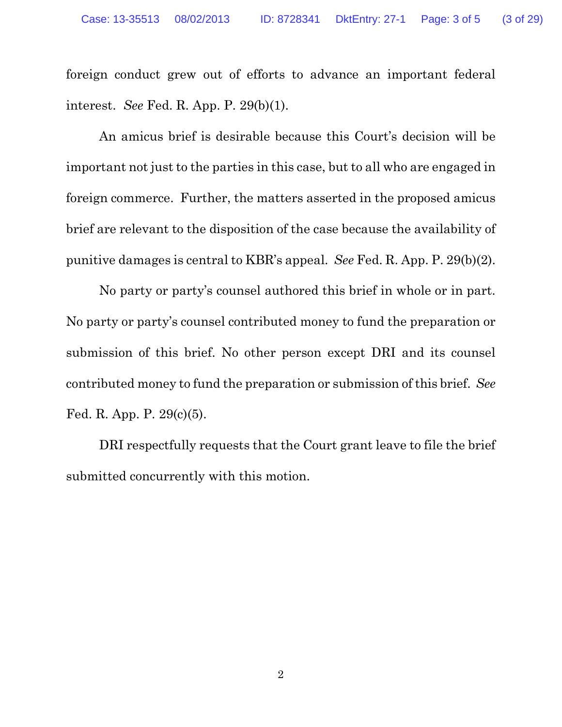foreign conduct grew out of efforts to advance an important federal interest. *See* Fed. R. App. P. 29(b)(1).

An amicus brief is desirable because this Court's decision will be important not just to the parties in this case, but to all who are engaged in foreign commerce. Further, the matters asserted in the proposed amicus brief are relevant to the disposition of the case because the availability of punitive damages is central to KBR's appeal. *See* Fed. R. App. P. 29(b)(2).

No party or party's counsel authored this brief in whole or in part. No party or party's counsel contributed money to fund the preparation or submission of this brief. No other person except DRI and its counsel contributed money to fund the preparation or submission of this brief. *See* Fed. R. App. P. 29(c)(5).

DRI respectfully requests that the Court grant leave to file the brief submitted concurrently with this motion.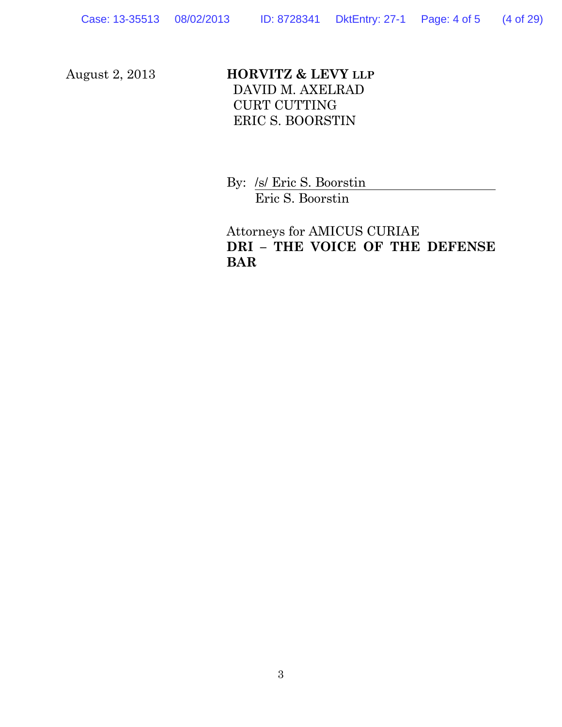#### August 2, 2013 **HORVITZ & LEVY LLP** DAVID M. AXELRAD CURT CUTTING ERIC S. BOORSTIN

By: /s/ Eric S. Boorstin Eric S. Boorstin

Attorneys for AMICUS CURIAE **DRI – THE VOICE OF THE DEFENSE BAR**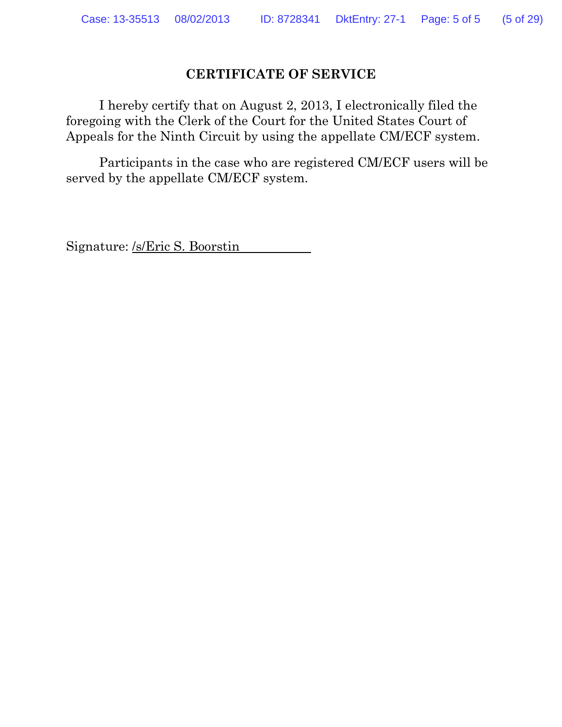#### **CERTIFICATE OF SERVICE**

I hereby certify that on August 2, 2013, I electronically filed the foregoing with the Clerk of the Court for the United States Court of Appeals for the Ninth Circuit by using the appellate CM/ECF system.

Participants in the case who are registered CM/ECF users will be served by the appellate CM/ECF system.

Signature: /s/Eric S. Boorstin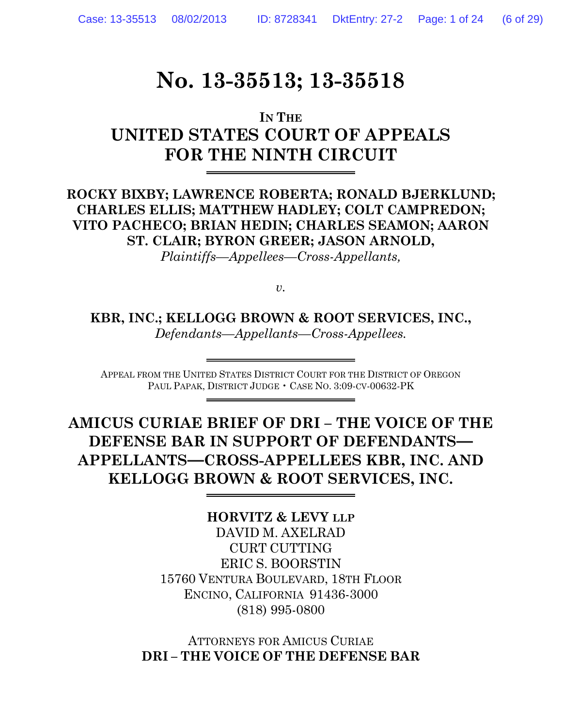## **No. 13-35513; 13-35518**

## **IN THE UNITED STATES COURT OF APPEALS FOR THE NINTH CIRCUIT**

**ROCKY BIXBY; LAWRENCE ROBERTA; RONALD BJERKLUND; CHARLES ELLIS; MATTHEW HADLEY; COLT CAMPREDON; VITO PACHECO; BRIAN HEDIN; CHARLES SEAMON; AARON ST. CLAIR; BYRON GREER; JASON ARNOLD,**

*Plaintiffs—Appellees—Cross-Appellants,*

*v.*

**KBR, INC.; KELLOGG BROWN & ROOT SERVICES, INC.,** *Defendants—Appellants—Cross-Appellees.*

APPEAL FROM THE UNITED STATES DISTRICT COURT FOR THE DISTRICT OF OREGON PAUL PAPAK, DISTRICT JUDGE • CASE NO. 3:09-CV-00632-PK

**AMICUS CURIAE BRIEF OF DRI – THE VOICE OF THE DEFENSE BAR IN SUPPORT OF DEFENDANTS— APPELLANTS—CROSS-APPELLEES KBR, INC. AND KELLOGG BROWN & ROOT SERVICES, INC.**

**HORVITZ & LEVY LLP**

DAVID M. AXELRAD CURT CUTTING ERIC S. BOORSTIN 15760 VENTURA BOULEVARD, 18TH FLOOR ENCINO, CALIFORNIA 91436-3000 (818) 995-0800

ATTORNEYS FOR AMICUS CURIAE **DRI – THE VOICE OF THE DEFENSE BAR**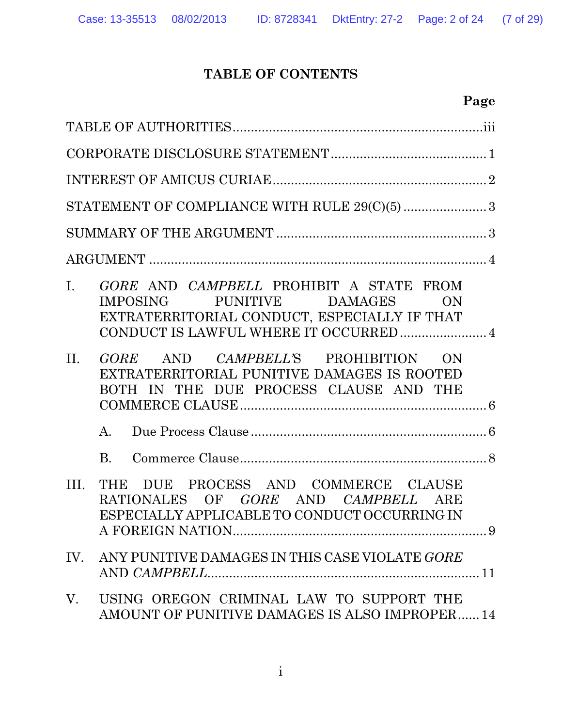## **TABLE OF CONTENTS**

|     | Page                                                                                                                                                                |
|-----|---------------------------------------------------------------------------------------------------------------------------------------------------------------------|
|     |                                                                                                                                                                     |
|     |                                                                                                                                                                     |
|     |                                                                                                                                                                     |
|     |                                                                                                                                                                     |
|     |                                                                                                                                                                     |
|     |                                                                                                                                                                     |
| L.  | GORE AND CAMPBELL PROHIBIT A STATE FROM<br>IMPOSING PUNITIVE DAMAGES<br>ON<br>EXTRATERRITORIAL CONDUCT, ESPECIALLY IF THAT<br>CONDUCT IS LAWFUL WHERE IT OCCURRED 4 |
| II. | GORE AND CAMPBELL'S PROHIBITION ON<br>EXTRATERRITORIAL PUNITIVE DAMAGES IS ROOTED<br>BOTH IN THE DUE PROCESS CLAUSE AND THE                                         |
|     | A.                                                                                                                                                                  |
|     | $\rm B$ .                                                                                                                                                           |
| Ш.  | THE DUE PROCESS AND COMMERCE CLAUSE<br>RATIONALES OF GORE AND CAMPBELL ARE<br>ESPECIALLY APPLICABLE TO CONDUCT OCCURRING IN                                         |
|     | IV. ANY PUNITIVE DAMAGES IN THIS CASE VIOLATE GORE                                                                                                                  |
| V.  | USING OREGON CRIMINAL LAW TO SUPPORT THE<br>AMOUNT OF PUNITIVE DAMAGES IS ALSO IMPROPER 14                                                                          |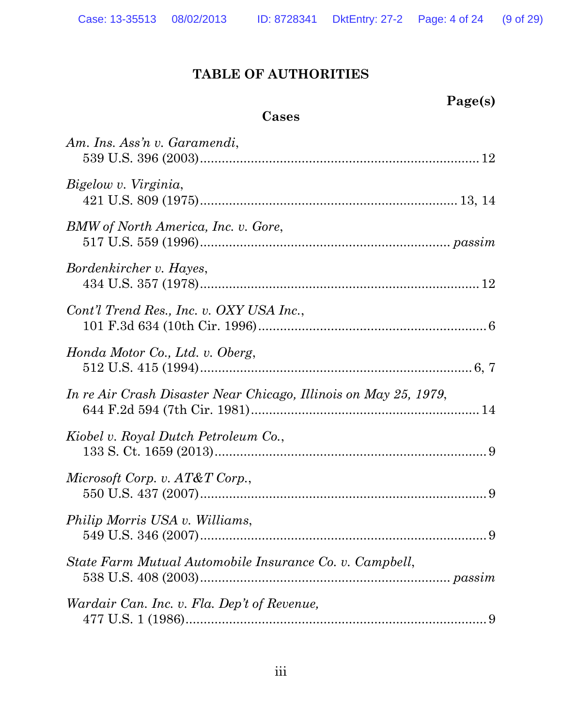**Page(s)**

## **TABLE OF AUTHORITIES**

| Cases                                                            |  |
|------------------------------------------------------------------|--|
| Am. Ins. Ass'n v. Garamendi,                                     |  |
| Bigelow v. Virginia,                                             |  |
| BMW of North America, Inc. v. Gore,                              |  |
| Bordenkircher v. Hayes,                                          |  |
| Cont'l Trend Res., Inc. v. OXY USA Inc.,                         |  |
| Honda Motor Co., Ltd. v. Oberg,                                  |  |
| In re Air Crash Disaster Near Chicago, Illinois on May 25, 1979, |  |
| Kiobel v. Royal Dutch Petroleum Co.,                             |  |
| Microsoft Corp. v. $AT\&T$ Corp.,                                |  |
| <i>Philip Morris USA v. Williams,</i>                            |  |
| State Farm Mutual Automobile Insurance Co. v. Campbell,          |  |
| Wardair Can. Inc. v. Fla. Dep't of Revenue,                      |  |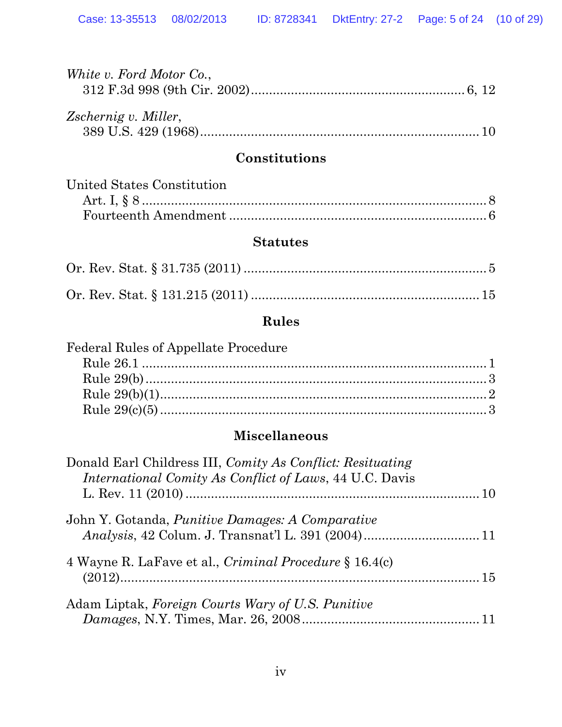| White v. Ford Motor Co., |  |
|--------------------------|--|
|                          |  |
|                          |  |
| Zschernig v. Miller,     |  |
|                          |  |

#### **Constitutions**

| United States Constitution |  |
|----------------------------|--|
|                            |  |
|                            |  |

#### **Statutes**

## **Rules**

| <b>Federal Rules of Appellate Procedure</b> |  |
|---------------------------------------------|--|
|                                             |  |
|                                             |  |
|                                             |  |
|                                             |  |
|                                             |  |

## **Miscellaneous**

| Donald Earl Childress III, Comity As Conflict: Resituating<br><i>International Comity As Conflict of Laws, 44 U.C. Davis</i> |  |
|------------------------------------------------------------------------------------------------------------------------------|--|
|                                                                                                                              |  |
| John Y. Gotanda, <i>Punitive Damages: A Comparative</i>                                                                      |  |
|                                                                                                                              |  |
| 4 Wayne R. LaFave et al., <i>Criminal Procedure</i> § 16.4(c)                                                                |  |
|                                                                                                                              |  |
| Adam Liptak, Foreign Courts Wary of U.S. Punitive                                                                            |  |
|                                                                                                                              |  |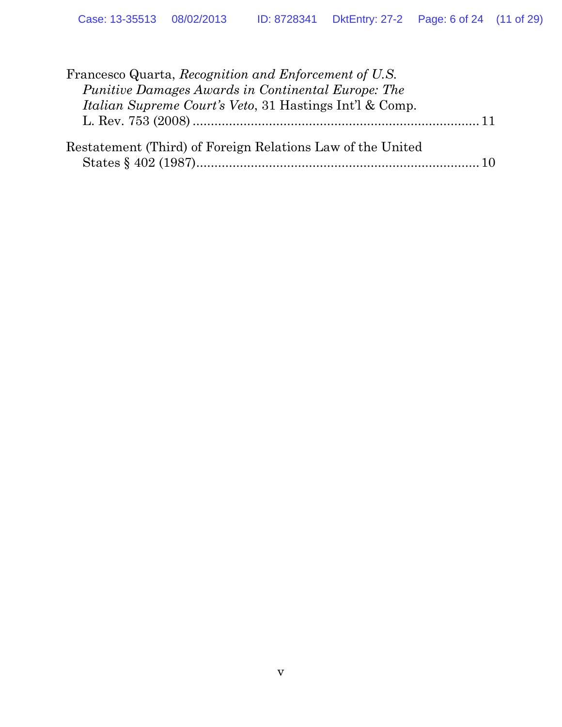| Francesco Quarta, Recognition and Enforcement of U.S.              |  |
|--------------------------------------------------------------------|--|
| Punitive Damages Awards in Continental Europe: The                 |  |
| <i>Italian Supreme Court's Veto, 31 Hastings Int'l &amp; Comp.</i> |  |
|                                                                    |  |
| Restatement (Third) of Foreign Relations Law of the United         |  |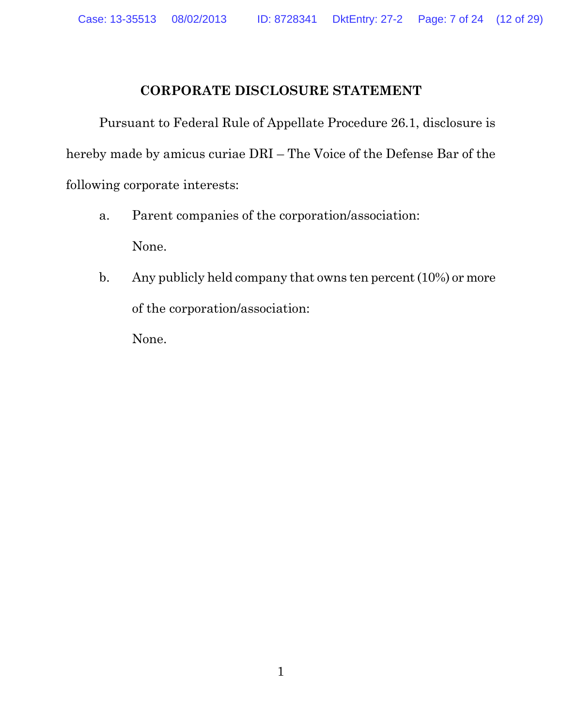#### **CORPORATE DISCLOSURE STATEMENT**

Pursuant to Federal Rule of Appellate Procedure 26.1, disclosure is hereby made by amicus curiae DRI – The Voice of the Defense Bar of the following corporate interests:

- a. Parent companies of the corporation/association: None.
- b. Any publicly held company that owns ten percent (10%) or more of the corporation/association:

None.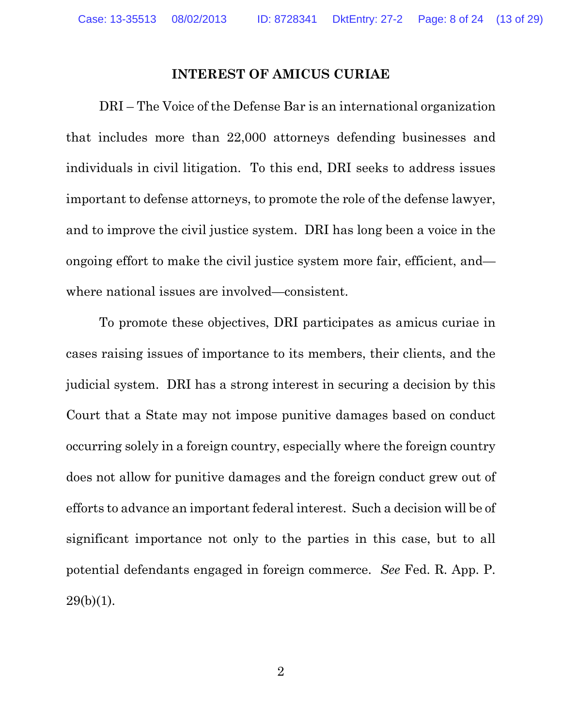#### **INTEREST OF AMICUS CURIAE**

DRI – The Voice of the Defense Bar is an international organization that includes more than 22,000 attorneys defending businesses and individuals in civil litigation. To this end, DRI seeks to address issues important to defense attorneys, to promote the role of the defense lawyer, and to improve the civil justice system. DRI has long been a voice in the ongoing effort to make the civil justice system more fair, efficient, and where national issues are involved—consistent.

<span id="page-12-0"></span>To promote these objectives, DRI participates as amicus curiae in cases raising issues of importance to its members, their clients, and the judicial system. DRI has a strong interest in securing a decision by this Court that a State may not impose punitive damages based on conduct occurring solely in a foreign country, especially where the foreign country does not allow for punitive damages and the foreign conduct grew out of efforts to advance an important federal interest. Such a decision will be of significant importance not only to the parties in this case, but to all potential defendants engaged in foreign commerce. *See* Fed. R. App. P.  $29(b)(1)$ .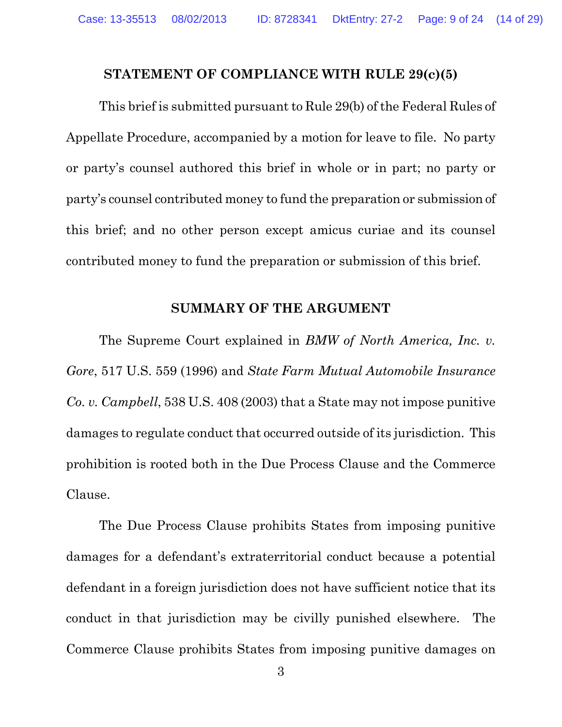#### <span id="page-13-2"></span>**STATEMENT OF COMPLIANCE WITH RULE 29(c)(5)**

This brief is submitted pursuant to Rule 29(b) of the Federal Rules of Appellate Procedure, accompanied by a motion for leave to file. No party or party's counsel authored this brief in whole or in part; no party or party's counsel contributed money to fund the preparation or submission of this brief; and no other person except amicus curiae and its counsel contributed money to fund the preparation or submission of this brief.

#### <span id="page-13-1"></span><span id="page-13-0"></span>**SUMMARY OF THE ARGUMENT**

The Supreme Court explained in *BMW of North America, Inc. v. Gore*, 517 U.S. 559 (1996) and *State Farm Mutual Automobile Insurance Co. v. Campbell*, 538 U.S. 408 (2003) that a State may not impose punitive damages to regulate conduct that occurred outside of its jurisdiction. This prohibition is rooted both in the Due Process Clause and the Commerce Clause.

The Due Process Clause prohibits States from imposing punitive damages for a defendant's extraterritorial conduct because a potential defendant in a foreign jurisdiction does not have sufficient notice that its conduct in that jurisdiction may be civilly punished elsewhere. The Commerce Clause prohibits States from imposing punitive damages on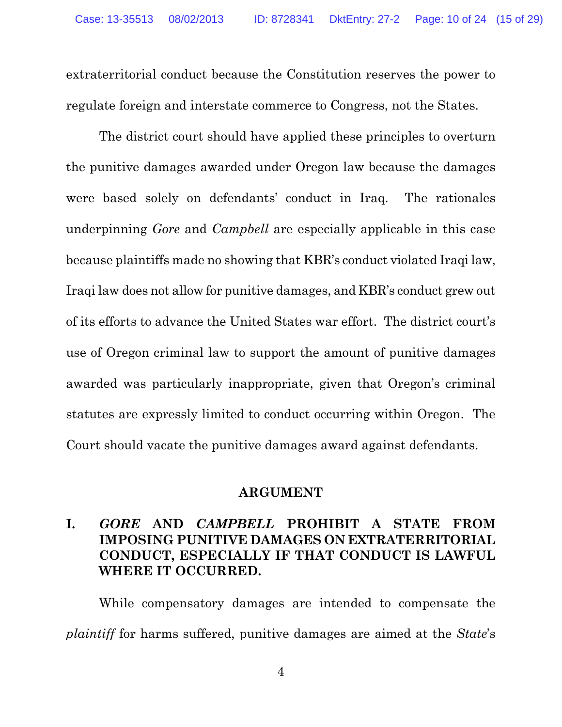extraterritorial conduct because the Constitution reserves the power to regulate foreign and interstate commerce to Congress, not the States.

The district court should have applied these principles to overturn the punitive damages awarded under Oregon law because the damages were based solely on defendants' conduct in Iraq. The rationales underpinning *Gore* and *Campbell* are especially applicable in this case because plaintiffs made no showing that KBR's conduct violated Iraqi law, Iraqi law does not allow for punitive damages, and KBR's conduct grew out of its efforts to advance the United States war effort. The district court's use of Oregon criminal law to support the amount of punitive damages awarded was particularly inappropriate, given that Oregon's criminal statutes are expressly limited to conduct occurring within Oregon. The Court should vacate the punitive damages award against defendants.

#### **ARGUMENT**

#### **I.** *GORE* **AND** *CAMPBELL* **PROHIBIT A STATE FROM IMPOSING PUNITIVE DAMAGES ON EXTRATERRITORIAL CONDUCT, ESPECIALLY IF THAT CONDUCT IS LAWFUL WHERE IT OCCURRED.**

While compensatory damages are intended to compensate the *plaintiff* for harms suffered, punitive damages are aimed at the *State*'s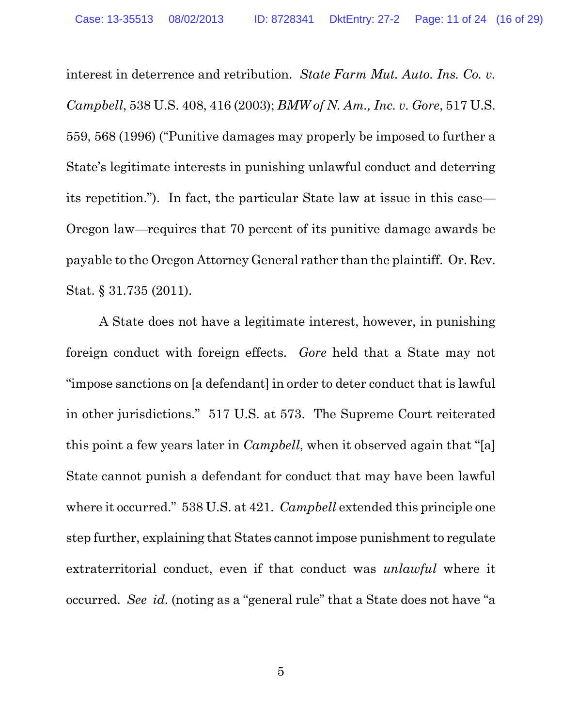interest in deterrence and retribution. *State Farm Mut. Auto. Ins. Co. v. Campbell*, 538 U.S. 408, 416 (2003); *BMW of N. Am., Inc. v. Gore*, 517 U.S. 559, 568 (1996) ("Punitive damages may properly be imposed to further a State's legitimate interests in punishing unlawful conduct and deterring its repetition."). In fact, the particular State law at issue in this case— Oregon law—requires that 70 percent of its punitive damage awards be payable to the Oregon Attorney General rather than the plaintiff. Or. Rev. Stat. § 31.735 (2011).

<span id="page-15-0"></span>A State does not have a legitimate interest, however, in punishing foreign conduct with foreign effects. *Gore* held that a State may not "impose sanctions on [a defendant] in order to deter conduct that is lawful in other jurisdictions." 517 U.S. at 573. The Supreme Court reiterated this point a few years later in *Campbell*, when it observed again that "[a] State cannot punish a defendant for conduct that may have been lawful where it occurred." 538 U.S. at 421. *Campbell* extended this principle one step further, explaining that States cannot impose punishment to regulate extraterritorial conduct, even if that conduct was *unlawful* where it occurred. *See id.* (noting as a "general rule" that a State does not have "a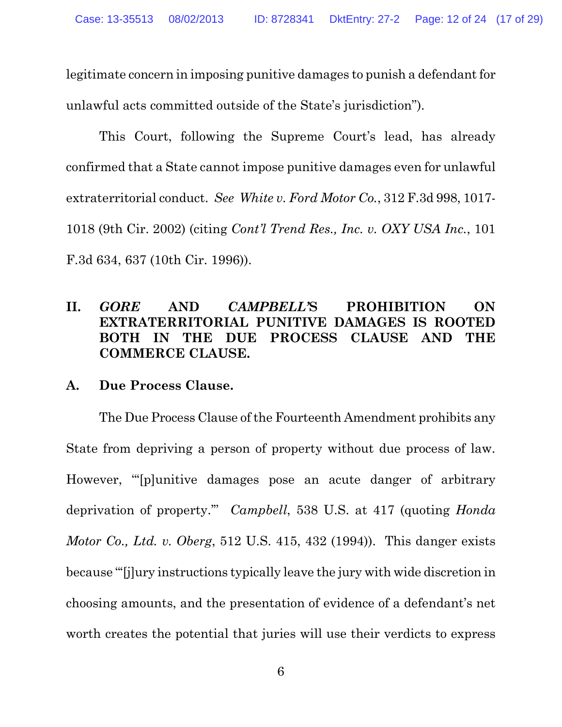legitimate concern in imposing punitive damages to punish a defendant for unlawful acts committed outside of the State's jurisdiction").

<span id="page-16-2"></span>This Court, following the Supreme Court's lead, has already confirmed that a State cannot impose punitive damages even for unlawful extraterritorial conduct. *See White v. Ford Motor Co.*, 312 F.3d 998, 1017- 1018 (9th Cir. 2002) (citing *Cont'l Trend Res., Inc. v. OXY USA Inc.*, 101 F.3d 634, 637 (10th Cir. 1996)).

#### <span id="page-16-0"></span>**II.** *GORE* **AND** *CAMPBELL'***S PROHIBITION ON EXTRATERRITORIAL PUNITIVE DAMAGES IS ROOTED BOTH IN THE DUE PROCESS CLAUSE AND THE COMMERCE CLAUSE.**

#### **A. Due Process Clause.**

<span id="page-16-1"></span>The Due Process Clause of the Fourteenth Amendment prohibits any State from depriving a person of property without due process of law. However, "'[p]unitive damages pose an acute danger of arbitrary deprivation of property.'" *Campbell*, 538 U.S. at 417 (quoting *Honda Motor Co., Ltd. v. Oberg*, 512 U.S. 415, 432 (1994)). This danger exists because "'[j]ury instructions typically leave the jury with wide discretion in choosing amounts, and the presentation of evidence of a defendant's net worth creates the potential that juries will use their verdicts to express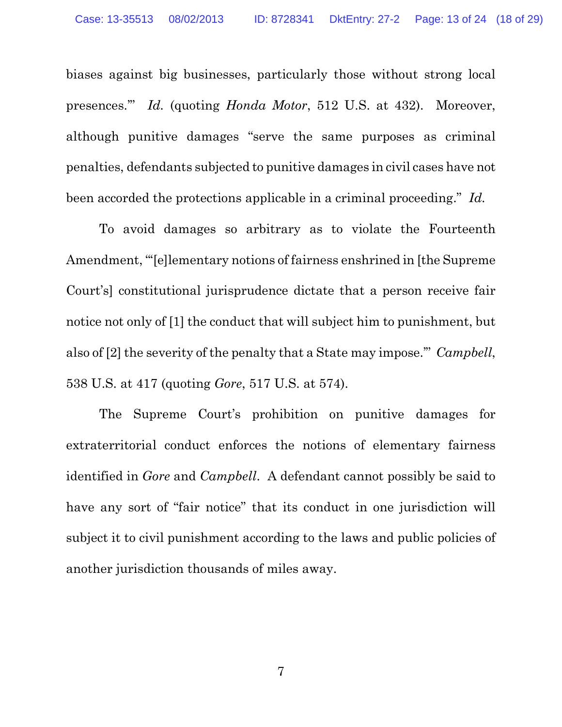biases against big businesses, particularly those without strong local presences.'" *Id.* (quoting *Honda Motor*, 512 U.S. at 432). Moreover, although punitive damages "serve the same purposes as criminal penalties, defendants subjected to punitive damages in civil cases have not been accorded the protections applicable in a criminal proceeding." *Id.*

To avoid damages so arbitrary as to violate the Fourteenth Amendment, "'[e]lementary notions of fairness enshrined in [the Supreme Court's] constitutional jurisprudence dictate that a person receive fair notice not only of [1] the conduct that will subject him to punishment, but also of [2] the severity of the penalty that a State may impose.'" *Campbell*, 538 U.S. at 417 (quoting *Gore*, 517 U.S. at 574).

The Supreme Court's prohibition on punitive damages for extraterritorial conduct enforces the notions of elementary fairness identified in *Gore* and *Campbell*. A defendant cannot possibly be said to have any sort of "fair notice" that its conduct in one jurisdiction will subject it to civil punishment according to the laws and public policies of another jurisdiction thousands of miles away.

7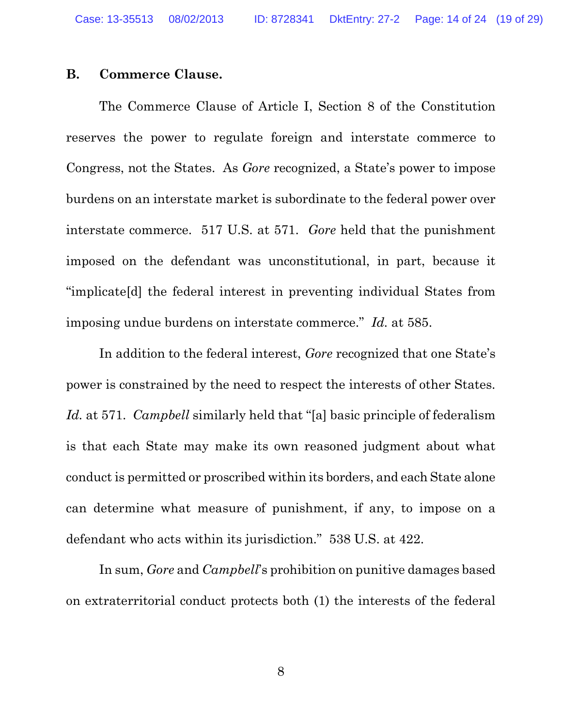#### **B. Commerce Clause.**

The Commerce Clause of Article I, Section 8 of the Constitution reserves the power to regulate foreign and interstate commerce to Congress, not the States. As *Gore* recognized, a State's power to impose burdens on an interstate market is subordinate to the federal power over interstate commerce. 517 U.S. at 571. *Gore* held that the punishment imposed on the defendant was unconstitutional, in part, because it "implicate[d] the federal interest in preventing individual States from imposing undue burdens on interstate commerce." *Id.* at 585.

In addition to the federal interest, *Gore* recognized that one State's power is constrained by the need to respect the interests of other States. *Id.* at 571. *Campbell* similarly held that "[a] basic principle of federalism is that each State may make its own reasoned judgment about what conduct is permitted or proscribed within its borders, and each State alone can determine what measure of punishment, if any, to impose on a defendant who acts within its jurisdiction." 538 U.S. at 422.

In sum, *Gore* and *Campbell*'s prohibition on punitive damages based on extraterritorial conduct protects both (1) the interests of the federal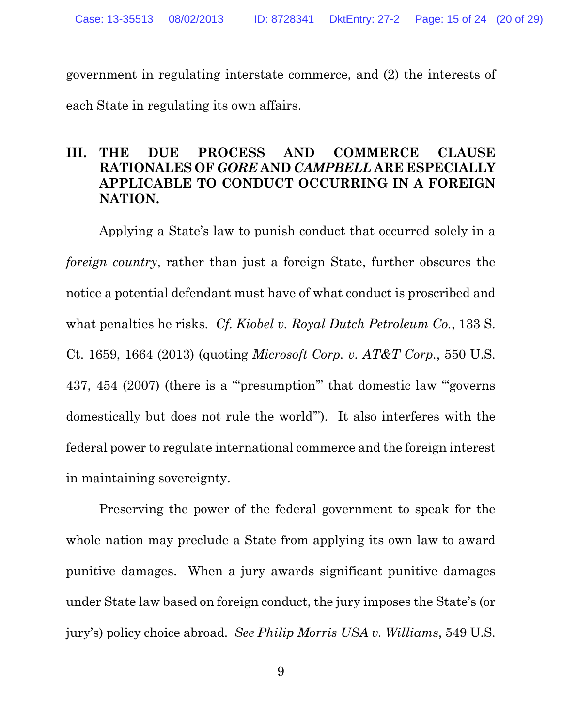government in regulating interstate commerce, and (2) the interests of each State in regulating its own affairs.

#### **III. THE DUE PROCESS AND COMMERCE CLAUSE RATIONALES OF** *GORE* **AND** *CAMPBELL* **ARE ESPECIALLY APPLICABLE TO CONDUCT OCCURRING IN A FOREIGN NATION.**

<span id="page-19-1"></span><span id="page-19-0"></span>Applying a State's law to punish conduct that occurred solely in a *foreign country*, rather than just a foreign State, further obscures the notice a potential defendant must have of what conduct is proscribed and what penalties he risks. *Cf. Kiobel v. Royal Dutch Petroleum Co.*, 133 S. Ct. 1659, 1664 (2013) (quoting *Microsoft Corp. v. AT&T Corp.*, 550 U.S. 437, 454 (2007) (there is a "'presumption'" that domestic law "'governs domestically but does not rule the world'"). It also interferes with the federal power to regulate international commerce and the foreign interest in maintaining sovereignty.

<span id="page-19-2"></span>Preserving the power of the federal government to speak for the whole nation may preclude a State from applying its own law to award punitive damages. When a jury awards significant punitive damages under State law based on foreign conduct, the jury imposes the State's (or jury's) policy choice abroad. *See Philip Morris USA v. Williams*, 549 U.S.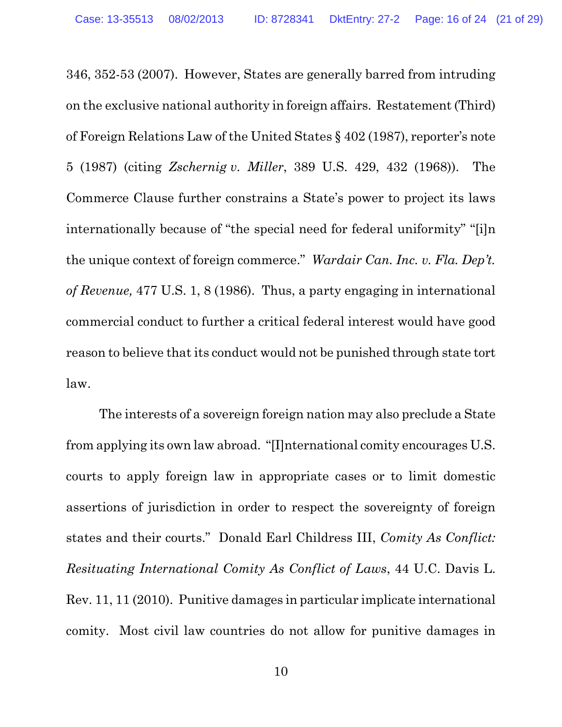<span id="page-20-2"></span>346, 352-53 (2007). However, States are generally barred from intruding on the exclusive national authority in foreign affairs. Restatement (Third) of Foreign Relations Law of the United States § 402 (1987), reporter's note 5 (1987) (citing *Zschernig v. Miller*, 389 U.S. 429, 432 (1968)). The Commerce Clause further constrains a State's power to project its laws internationally because of "the special need for federal uniformity" "[i]n the unique context of foreign commerce." *Wardair Can. Inc. v. Fla. Dep't. of Revenue,* 477 U.S. 1, 8 (1986). Thus, a party engaging in international commercial conduct to further a critical federal interest would have good reason to believe that its conduct would not be punished through state tort law.

<span id="page-20-1"></span><span id="page-20-0"></span>The interests of a sovereign foreign nation may also preclude a State from applying its own law abroad. "[I]nternational comity encourages U.S. courts to apply foreign law in appropriate cases or to limit domestic assertions of jurisdiction in order to respect the sovereignty of foreign states and their courts." Donald Earl Childress III, *Comity As Conflict: Resituating International Comity As Conflict of Laws*, 44 U.C. Davis L. Rev. 11, 11 (2010). Punitive damages in particular implicate international comity. Most civil law countries do not allow for punitive damages in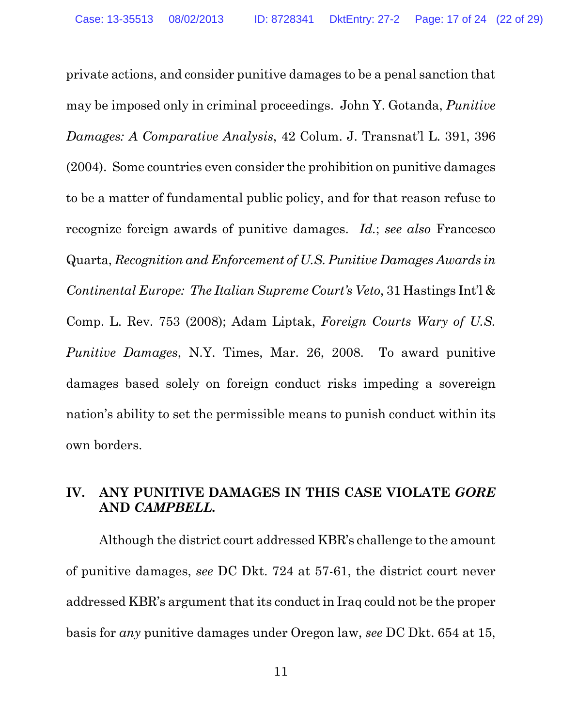<span id="page-21-2"></span><span id="page-21-0"></span>private actions, and consider punitive damages to be a penal sanction that may be imposed only in criminal proceedings. John Y. Gotanda, *Punitive Damages: A Comparative Analysis*, 42 Colum. J. Transnat'l L. 391, 396 (2004). Some countries even consider the prohibition on punitive damages to be a matter of fundamental public policy, and for that reason refuse to recognize foreign awards of punitive damages. *Id.*; *see also* Francesco Quarta, *Recognition and Enforcement of U.S. Punitive Damages Awards in Continental Europe: The Italian Supreme Court's Veto*, 31 Hastings Int'l & Comp. L. Rev. 753 (2008); Adam Liptak, *Foreign Courts Wary of U.S. Punitive Damages*, N.Y. Times, Mar. 26, 2008. To award punitive damages based solely on foreign conduct risks impeding a sovereign nation's ability to set the permissible means to punish conduct within its own borders.

#### <span id="page-21-1"></span>**IV. ANY PUNITIVE DAMAGES IN THIS CASE VIOLATE** *GORE* **AND** *CAMPBELL.*

Although the district court addressed KBR's challenge to the amount of punitive damages, *see* DC Dkt. 724 at 57-61, the district court never addressed KBR's argument that its conduct in Iraq could not be the proper basis for *any* punitive damages under Oregon law, *see* DC Dkt. 654 at 15,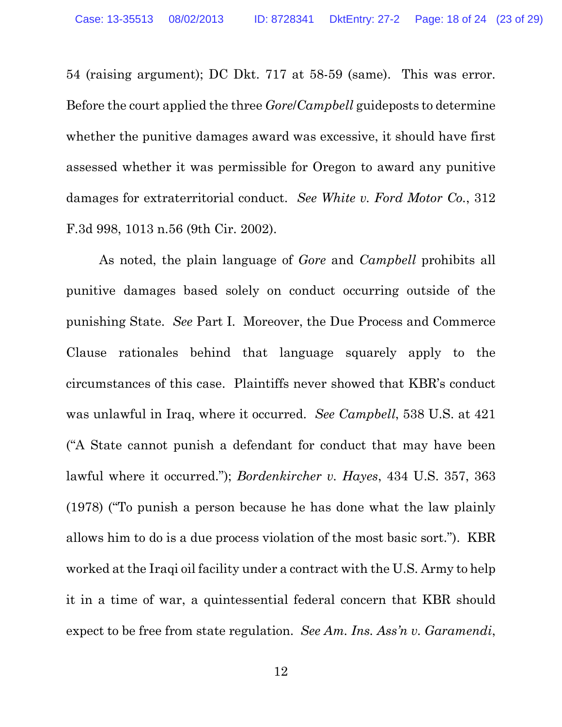54 (raising argument); DC Dkt. 717 at 58-59 (same). This was error. Before the court applied the three *Gore*/*Campbell* guideposts to determine whether the punitive damages award was excessive, it should have first assessed whether it was permissible for Oregon to award any punitive damages for extraterritorial conduct. *See White v. Ford Motor Co.*, 312 F.3d 998, 1013 n.56 (9th Cir. 2002).

<span id="page-22-2"></span><span id="page-22-1"></span><span id="page-22-0"></span>As noted, the plain language of *Gore* and *Campbell* prohibits all punitive damages based solely on conduct occurring outside of the punishing State. *See* Part I. Moreover, the Due Process and Commerce Clause rationales behind that language squarely apply to the circumstances of this case. Plaintiffs never showed that KBR's conduct was unlawful in Iraq, where it occurred. *See Campbell*, 538 U.S. at 421 ("A State cannot punish a defendant for conduct that may have been lawful where it occurred."); *Bordenkircher v. Hayes*, 434 U.S. 357, 363 (1978) ("To punish a person because he has done what the law plainly allows him to do is a due process violation of the most basic sort."). KBR worked at the Iraqi oil facility under a contract with the U.S. Army to help it in a time of war, a quintessential federal concern that KBR should expect to be free from state regulation. *See Am. Ins. Ass'n v. Garamendi*,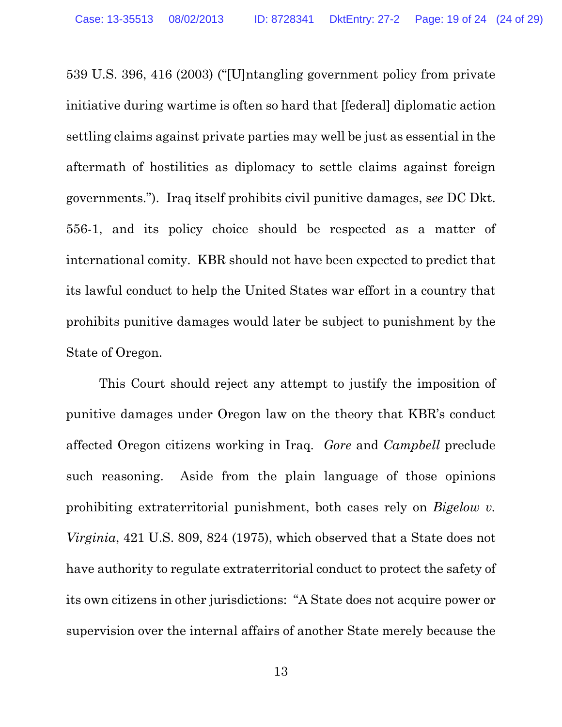539 U.S. 396, 416 (2003) ("[U]ntangling government policy from private initiative during wartime is often so hard that [federal] diplomatic action settling claims against private parties may well be just as essential in the aftermath of hostilities as diplomacy to settle claims against foreign governments."). Iraq itself prohibits civil punitive damages, s*ee* DC Dkt. 556-1, and its policy choice should be respected as a matter of international comity. KBR should not have been expected to predict that its lawful conduct to help the United States war effort in a country that prohibits punitive damages would later be subject to punishment by the State of Oregon.

<span id="page-23-0"></span>This Court should reject any attempt to justify the imposition of punitive damages under Oregon law on the theory that KBR's conduct affected Oregon citizens working in Iraq. *Gore* and *Campbell* preclude such reasoning. Aside from the plain language of those opinions prohibiting extraterritorial punishment, both cases rely on *Bigelow v. Virginia*, 421 U.S. 809, 824 (1975), which observed that a State does not have authority to regulate extraterritorial conduct to protect the safety of its own citizens in other jurisdictions: "A State does not acquire power or supervision over the internal affairs of another State merely because the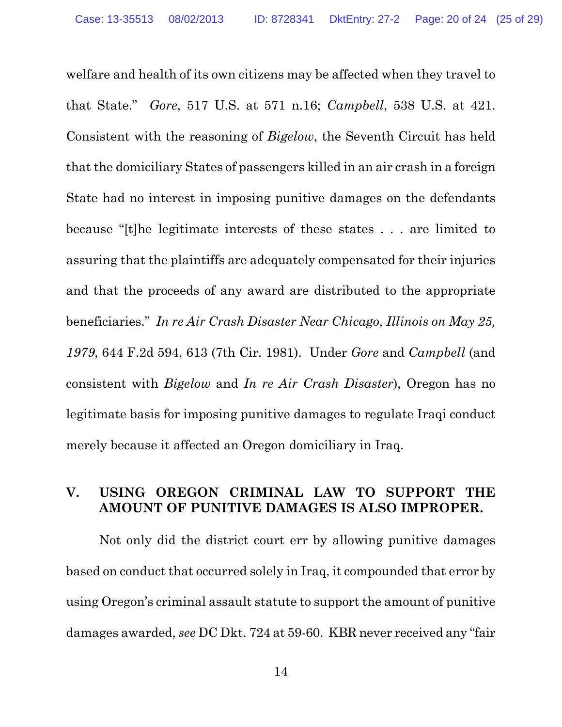welfare and health of its own citizens may be affected when they travel to that State." *Gore*, 517 U.S. at 571 n.16; *Campbell*, 538 U.S. at 421. Consistent with the reasoning of *Bigelow*, the Seventh Circuit has held that the domiciliary States of passengers killed in an air crash in a foreign State had no interest in imposing punitive damages on the defendants because "[t]he legitimate interests of these states . . . are limited to assuring that the plaintiffs are adequately compensated for their injuries and that the proceeds of any award are distributed to the appropriate beneficiaries." *In re Air Crash Disaster Near Chicago, Illinois on May 25, 1979*, 644 F.2d 594, 613 (7th Cir. 1981). Under *Gore* and *Campbell* (and consistent with *Bigelow* and *In re Air Crash Disaster*), Oregon has no legitimate basis for imposing punitive damages to regulate Iraqi conduct merely because it affected an Oregon domiciliary in Iraq.

#### <span id="page-24-1"></span><span id="page-24-0"></span>**V. USING OREGON CRIMINAL LAW TO SUPPORT THE AMOUNT OF PUNITIVE DAMAGES IS ALSO IMPROPER.**

Not only did the district court err by allowing punitive damages based on conduct that occurred solely in Iraq, it compounded that error by using Oregon's criminal assault statute to support the amount of punitive damages awarded, *see* DC Dkt. 724 at 59-60. KBR never received any "fair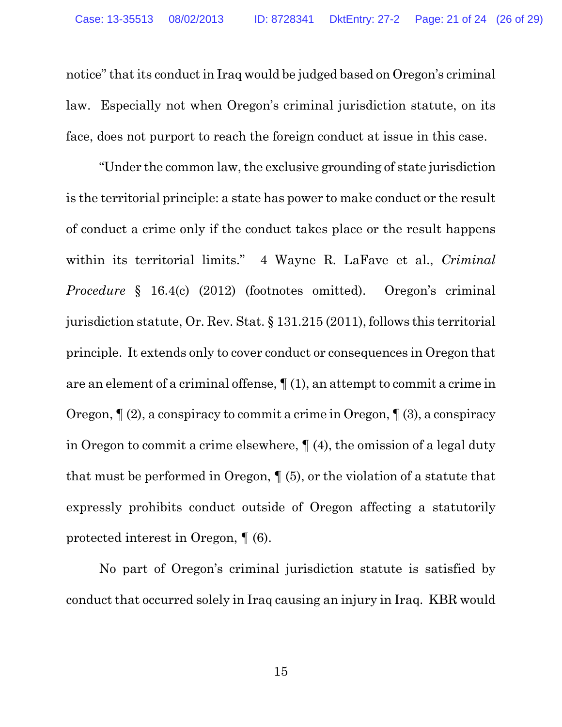notice" that its conduct in Iraq would be judged based on Oregon's criminal law. Especially not when Oregon's criminal jurisdiction statute, on its face, does not purport to reach the foreign conduct at issue in this case.

<span id="page-25-1"></span><span id="page-25-0"></span>"Under the common law, the exclusive grounding of state jurisdiction is the territorial principle: a state has power to make conduct or the result of conduct a crime only if the conduct takes place or the result happens within its territorial limits." 4 Wayne R. LaFave et al., *Criminal Procedure* § 16.4(c) (2012) (footnotes omitted). Oregon's criminal jurisdiction statute, Or. Rev. Stat. § 131.215 (2011), follows this territorial principle. It extends only to cover conduct or consequences in Oregon that are an element of a criminal offense,  $\P(1)$ , an attempt to commit a crime in Oregon,  $\P(2)$ , a conspiracy to commit a crime in Oregon,  $\P(3)$ , a conspiracy in Oregon to commit a crime elsewhere, ¶ (4), the omission of a legal duty that must be performed in Oregon, ¶ (5), or the violation of a statute that expressly prohibits conduct outside of Oregon affecting a statutorily protected interest in Oregon, ¶ (6).

No part of Oregon's criminal jurisdiction statute is satisfied by conduct that occurred solely in Iraq causing an injury in Iraq. KBR would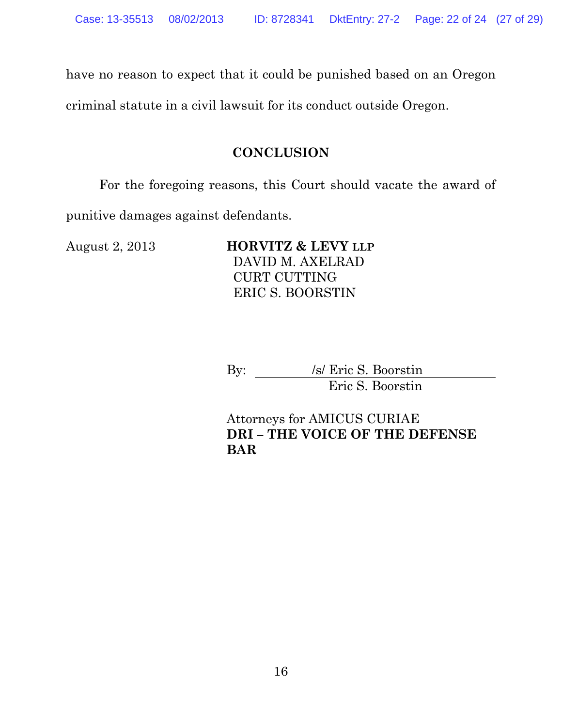have no reason to expect that it could be punished based on an Oregon

criminal statute in a civil lawsuit for its conduct outside Oregon.

#### **CONCLUSION**

For the foregoing reasons, this Court should vacate the award of

punitive damages against defendants.

August 2, 2013 **HORVITZ & LEVY LLP** DAVID M. AXELRAD CURT CUTTING ERIC S. BOORSTIN

> By: /s/ Eric S. Boorstin Eric S. Boorstin

Attorneys for AMICUS CURIAE **DRI – THE VOICE OF THE DEFENSE BAR**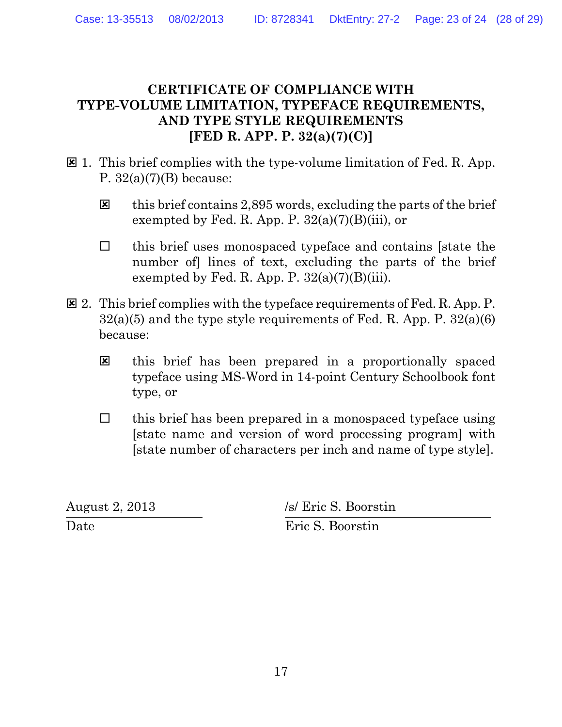#### **CERTIFICATE OF COMPLIANCE WITH TYPE-VOLUME LIMITATION, TYPEFACE REQUIREMENTS, AND TYPE STYLE REQUIREMENTS [FED R. APP. P. 32(a)(7)(C)]**

- $\boxtimes$  1. This brief complies with the type-volume limitation of Fed. R. App. P.  $32(a)(7)(B)$  because:
	- $\boxtimes$  this brief contains 2,895 words, excluding the parts of the brief exempted by Fed. R. App. P.  $32(a)(7)(B)(iii)$ , or
	- $\Box$  this brief uses monospaced typeface and contains [state the number of lines of text, excluding the parts of the brief exempted by Fed. R. App. P.  $32(a)(7)(B)(iii)$ .
- $\boxtimes$  2. This brief complies with the typeface requirements of Fed. R. App. P.  $32(a)(5)$  and the type style requirements of Fed. R. App. P.  $32(a)(6)$ because:
	- this brief has been prepared in a proportionally spaced typeface using MS-Word in 14-point Century Schoolbook font type, or
	- $\Box$  this brief has been prepared in a monospaced typeface using [state name and version of word processing program] with [state number of characters per inch and name of type style].

Date Eric S. Boorstin

August 2, 2013 /s/ Eric S. Boorstin